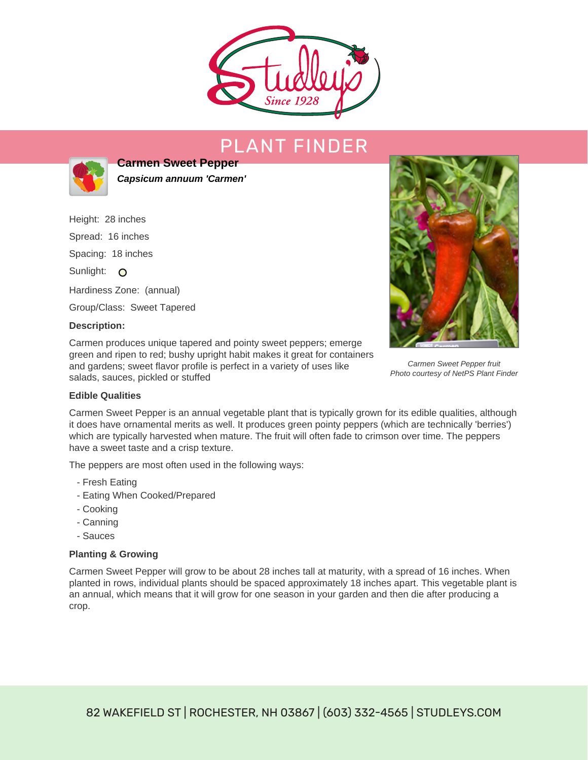

# PLANT FINDER



**Carmen Sweet Pepper Capsicum annuum 'Carmen'**

Height: 28 inches Spread: 16 inches Spacing: 18 inches Sunlight: O Hardiness Zone: (annual) Group/Class: Sweet Tapered **Description:**

Carmen produces unique tapered and pointy sweet peppers; emerge green and ripen to red; bushy upright habit makes it great for containers and gardens; sweet flavor profile is perfect in a variety of uses like salads, sauces, pickled or stuffed



Carmen Sweet Pepper fruit Photo courtesy of NetPS Plant Finder

### **Edible Qualities**

Carmen Sweet Pepper is an annual vegetable plant that is typically grown for its edible qualities, although it does have ornamental merits as well. It produces green pointy peppers (which are technically 'berries') which are typically harvested when mature. The fruit will often fade to crimson over time. The peppers have a sweet taste and a crisp texture.

The peppers are most often used in the following ways:

- Fresh Eating
- Eating When Cooked/Prepared
- Cooking
- Canning
- Sauces

### **Planting & Growing**

Carmen Sweet Pepper will grow to be about 28 inches tall at maturity, with a spread of 16 inches. When planted in rows, individual plants should be spaced approximately 18 inches apart. This vegetable plant is an annual, which means that it will grow for one season in your garden and then die after producing a crop.